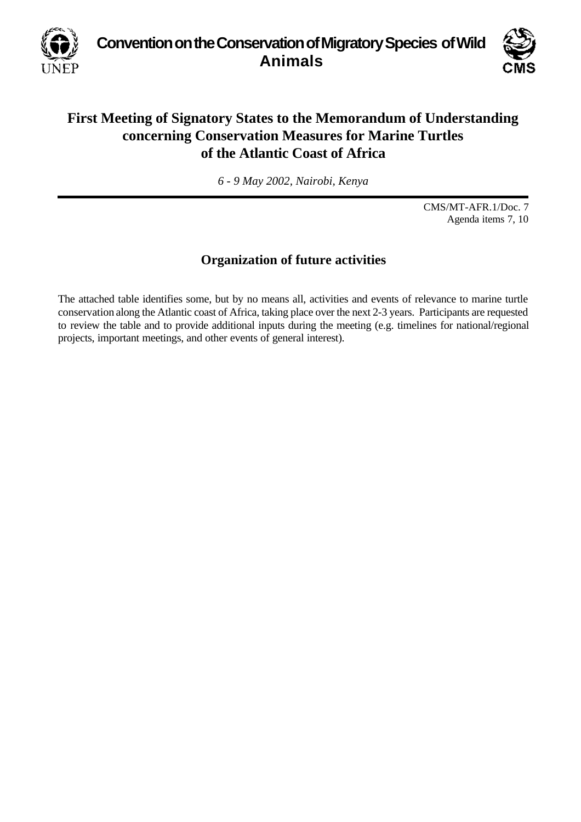**Convention on the Conservation of Migratory Species of Wild Animals**



## **First Meeting of Signatory States to the Memorandum of Understanding concerning Conservation Measures for Marine Turtles of the Atlantic Coast of Africa**

*6 - 9 May 2002, Nairobi, Kenya*

CMS/MT-AFR.1/Doc. 7 Agenda items 7, 10

## **Organization of future activities**

The attached table identifies some, but by no means all, activities and events of relevance to marine turtle conservation along the Atlantic coast of Africa, taking place over the next 2-3 years. Participants are requested to review the table and to provide additional inputs during the meeting (e.g. timelines for national/regional projects, important meetings, and other events of general interest).